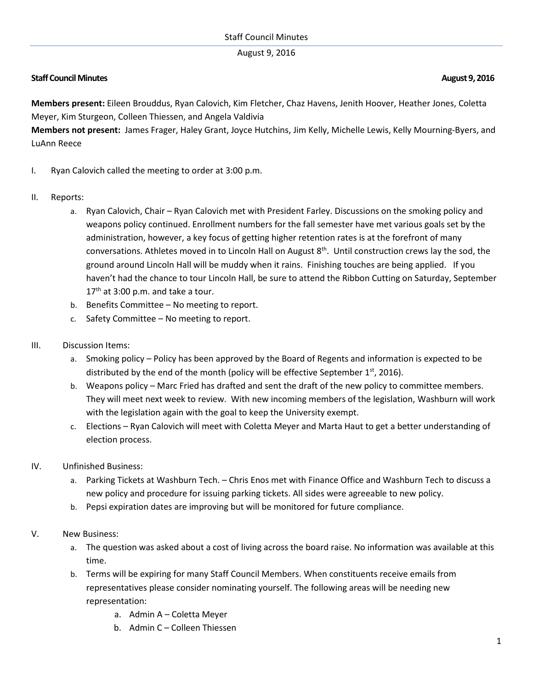## August 9, 2016

## **Staff Council Minutes August 9, 2016**

**Members present:** Eileen Brouddus, Ryan Calovich, Kim Fletcher, Chaz Havens, Jenith Hoover, Heather Jones, Coletta Meyer, Kim Sturgeon, Colleen Thiessen, and Angela Valdivia

**Members not present:** James Frager, Haley Grant, Joyce Hutchins, Jim Kelly, Michelle Lewis, Kelly Mourning-Byers, and LuAnn Reece

- I. Ryan Calovich called the meeting to order at 3:00 p.m.
- II. Reports:
	- a. Ryan Calovich, Chair Ryan Calovich met with President Farley. Discussions on the smoking policy and weapons policy continued. Enrollment numbers for the fall semester have met various goals set by the administration, however, a key focus of getting higher retention rates is at the forefront of many conversations. Athletes moved in to Lincoln Hall on August 8<sup>th</sup>. Until construction crews lay the sod, the ground around Lincoln Hall will be muddy when it rains. Finishing touches are being applied. If you haven't had the chance to tour Lincoln Hall, be sure to attend the Ribbon Cutting on Saturday, September  $17<sup>th</sup>$  at 3:00 p.m. and take a tour.
	- b. Benefits Committee No meeting to report.
	- c. Safety Committee No meeting to report.
- III. Discussion Items:
	- a. Smoking policy Policy has been approved by the Board of Regents and information is expected to be distributed by the end of the month (policy will be effective September  $1<sup>st</sup>$ , 2016).
	- b. Weapons policy Marc Fried has drafted and sent the draft of the new policy to committee members. They will meet next week to review. With new incoming members of the legislation, Washburn will work with the legislation again with the goal to keep the University exempt.
	- c. Elections Ryan Calovich will meet with Coletta Meyer and Marta Haut to get a better understanding of election process.
- IV. Unfinished Business:
	- a. Parking Tickets at Washburn Tech. Chris Enos met with Finance Office and Washburn Tech to discuss a new policy and procedure for issuing parking tickets. All sides were agreeable to new policy.
	- b. Pepsi expiration dates are improving but will be monitored for future compliance.
- V. New Business:
	- a. The question was asked about a cost of living across the board raise. No information was available at this time.
	- b. Terms will be expiring for many Staff Council Members. When constituents receive emails from representatives please consider nominating yourself. The following areas will be needing new representation:
		- a. Admin A Coletta Meyer
		- b. Admin C Colleen Thiessen